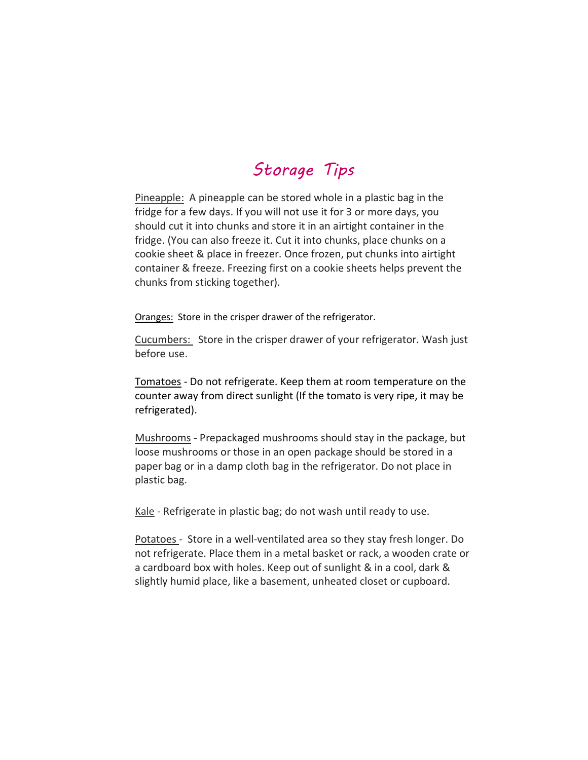## *Storage Tips*

Pineapple: A pineapple can be stored whole in a plastic bag in the fridge for a few days. If you will not use it for 3 or more days, you should cut it into chunks and store it in an airtight container in the fridge. (You can also freeze it. Cut it into chunks, place chunks on a cookie sheet & place in freezer. Once frozen, put chunks into airtight container & freeze. Freezing first on a cookie sheets helps prevent the chunks from sticking together).

Oranges: Store in the crisper drawer of the refrigerator.

Cucumbers: Store in the crisper drawer of your refrigerator. Wash just before use.

Tomatoes - Do not refrigerate. Keep them at room temperature on the counter away from direct sunlight (If the tomato is very ripe, it may be refrigerated).

Mushrooms - Prepackaged mushrooms should stay in the package, but loose mushrooms or those in an open package should be stored in a paper bag or in a damp cloth bag in the refrigerator. Do not place in plastic bag.

Kale - Refrigerate in plastic bag; do not wash until ready to use.

Potatoes - Store in a well-ventilated area so they stay fresh longer. Do not refrigerate. Place them in a metal basket or rack, a wooden crate or a cardboard box with holes. Keep out of sunlight & in a cool, dark & slightly humid place, like a basement, unheated closet or cupboard.